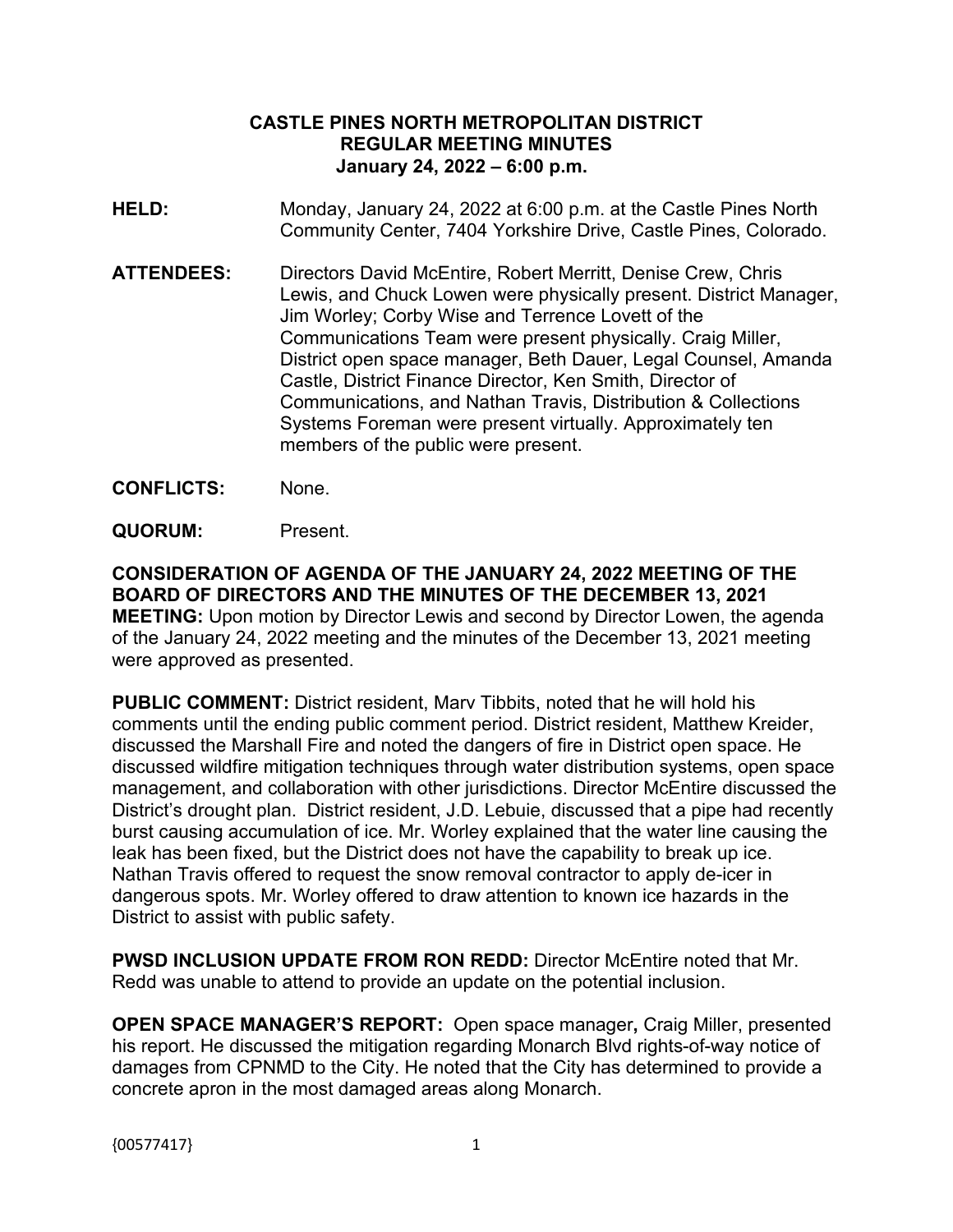## **CASTLE PINES NORTH METROPOLITAN DISTRICT REGULAR MEETING MINUTES January 24, 2022 – 6:00 p.m.**

- **HELD:** Monday, January 24, 2022 at 6:00 p.m. at the Castle Pines North Community Center, 7404 Yorkshire Drive, Castle Pines, Colorado.
- **ATTENDEES:** Directors David McEntire, Robert Merritt, Denise Crew, Chris Lewis, and Chuck Lowen were physically present. District Manager, Jim Worley; Corby Wise and Terrence Lovett of the Communications Team were present physically. Craig Miller, District open space manager, Beth Dauer, Legal Counsel, Amanda Castle, District Finance Director, Ken Smith, Director of Communications, and Nathan Travis, Distribution & Collections Systems Foreman were present virtually. Approximately ten members of the public were present.
- **CONFLICTS:** None.
- **QUORUM:** Present.

**CONSIDERATION OF AGENDA OF THE JANUARY 24, 2022 MEETING OF THE BOARD OF DIRECTORS AND THE MINUTES OF THE DECEMBER 13, 2021 MEETING:** Upon motion by Director Lewis and second by Director Lowen, the agenda of the January 24, 2022 meeting and the minutes of the December 13, 2021 meeting were approved as presented.

**PUBLIC COMMENT:** District resident, Marv Tibbits, noted that he will hold his comments until the ending public comment period. District resident, Matthew Kreider, discussed the Marshall Fire and noted the dangers of fire in District open space. He discussed wildfire mitigation techniques through water distribution systems, open space management, and collaboration with other jurisdictions. Director McEntire discussed the District's drought plan. District resident, J.D. Lebuie, discussed that a pipe had recently burst causing accumulation of ice. Mr. Worley explained that the water line causing the leak has been fixed, but the District does not have the capability to break up ice. Nathan Travis offered to request the snow removal contractor to apply de-icer in dangerous spots. Mr. Worley offered to draw attention to known ice hazards in the District to assist with public safety.

**PWSD INCLUSION UPDATE FROM RON REDD:** Director McEntire noted that Mr. Redd was unable to attend to provide an update on the potential inclusion.

**OPEN SPACE MANAGER'S REPORT:** Open space manager**,** Craig Miller, presented his report. He discussed the mitigation regarding Monarch Blvd rights-of-way notice of damages from CPNMD to the City. He noted that the City has determined to provide a concrete apron in the most damaged areas along Monarch.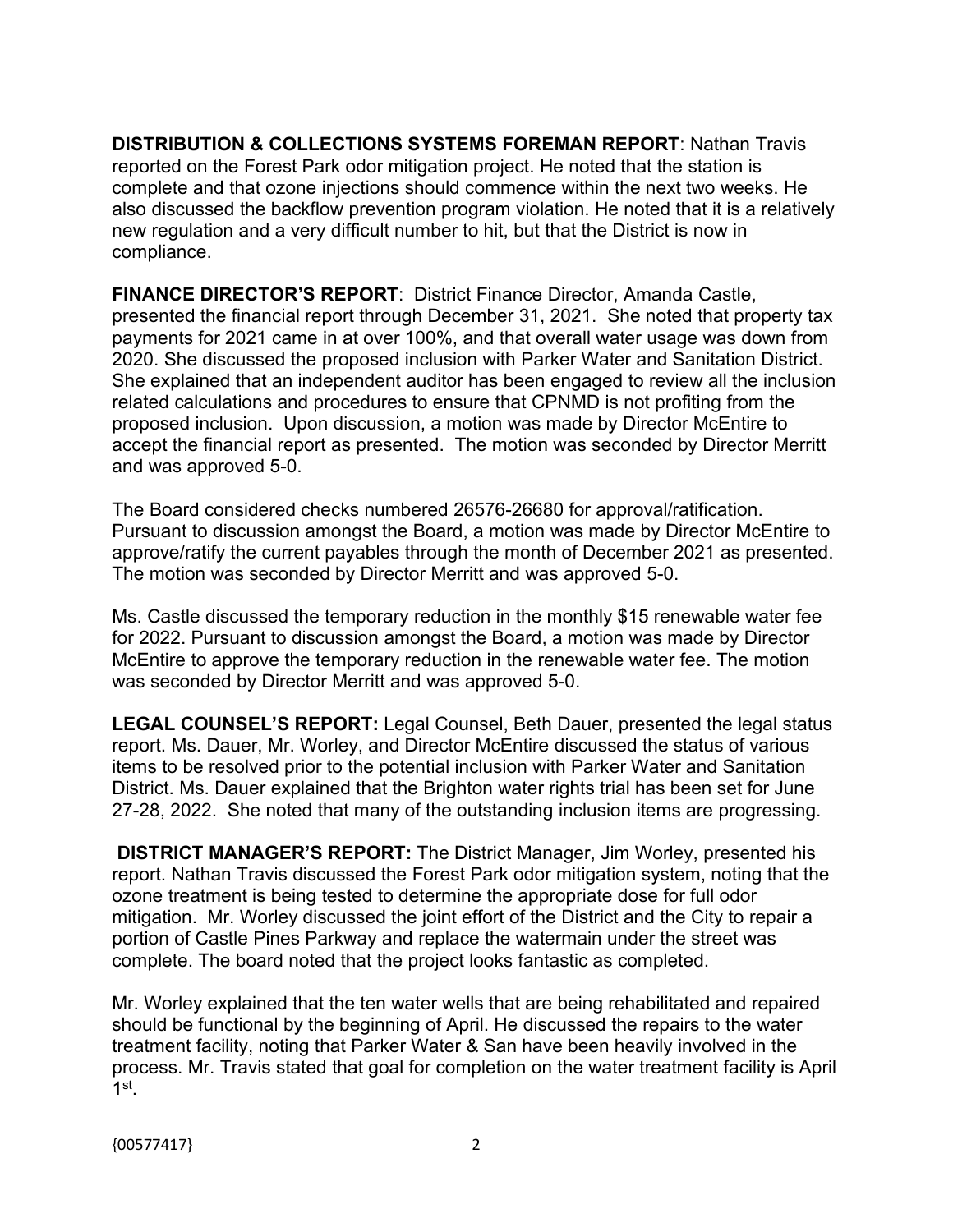**DISTRIBUTION & COLLECTIONS SYSTEMS FOREMAN REPORT**: Nathan Travis reported on the Forest Park odor mitigation project. He noted that the station is complete and that ozone injections should commence within the next two weeks. He also discussed the backflow prevention program violation. He noted that it is a relatively new regulation and a very difficult number to hit, but that the District is now in compliance.

**FINANCE DIRECTOR'S REPORT**: District Finance Director, Amanda Castle, presented the financial report through December 31, 2021. She noted that property tax payments for 2021 came in at over 100%, and that overall water usage was down from 2020. She discussed the proposed inclusion with Parker Water and Sanitation District. She explained that an independent auditor has been engaged to review all the inclusion related calculations and procedures to ensure that CPNMD is not profiting from the proposed inclusion. Upon discussion, a motion was made by Director McEntire to accept the financial report as presented. The motion was seconded by Director Merritt and was approved 5-0.

The Board considered checks numbered 26576-26680 for approval/ratification. Pursuant to discussion amongst the Board, a motion was made by Director McEntire to approve/ratify the current payables through the month of December 2021 as presented. The motion was seconded by Director Merritt and was approved 5-0.

Ms. Castle discussed the temporary reduction in the monthly \$15 renewable water fee for 2022. Pursuant to discussion amongst the Board, a motion was made by Director McEntire to approve the temporary reduction in the renewable water fee. The motion was seconded by Director Merritt and was approved 5-0.

**LEGAL COUNSEL'S REPORT:** Legal Counsel, Beth Dauer, presented the legal status report. Ms. Dauer, Mr. Worley, and Director McEntire discussed the status of various items to be resolved prior to the potential inclusion with Parker Water and Sanitation District. Ms. Dauer explained that the Brighton water rights trial has been set for June 27-28, 2022. She noted that many of the outstanding inclusion items are progressing.

**DISTRICT MANAGER'S REPORT:** The District Manager, Jim Worley, presented his report. Nathan Travis discussed the Forest Park odor mitigation system, noting that the ozone treatment is being tested to determine the appropriate dose for full odor mitigation. Mr. Worley discussed the joint effort of the District and the City to repair a portion of Castle Pines Parkway and replace the watermain under the street was complete. The board noted that the project looks fantastic as completed.

Mr. Worley explained that the ten water wells that are being rehabilitated and repaired should be functional by the beginning of April. He discussed the repairs to the water treatment facility, noting that Parker Water & San have been heavily involved in the process. Mr. Travis stated that goal for completion on the water treatment facility is April 1st .